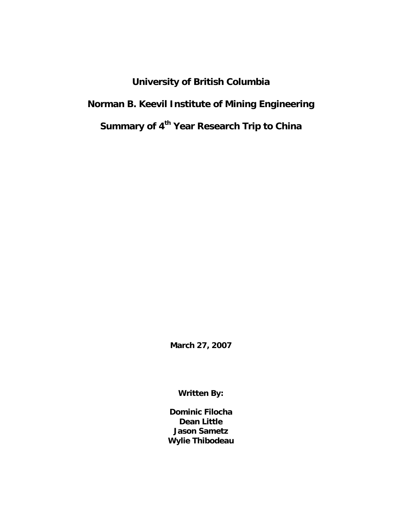**University of British Columbia Norman B. Keevil Institute of Mining Engineering Summary of 4<sup>th</sup> Year Research Trip to China** 

**March 27, 2007** 

**Written By:** 

**Dominic Filocha Dean Little Jason Sametz Wylie Thibodeau**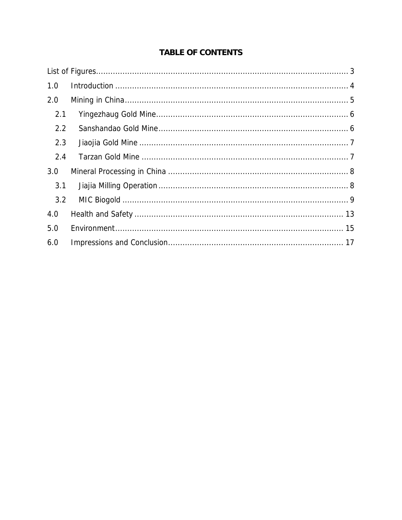# **TABLE OF CONTENTS**

| 1.0 |  |
|-----|--|
| 2.0 |  |
| 2.1 |  |
| 2.2 |  |
| 2.3 |  |
| 2.4 |  |
| 3.0 |  |
| 3.1 |  |
| 3.2 |  |
| 4.0 |  |
| 5.0 |  |
| 6.0 |  |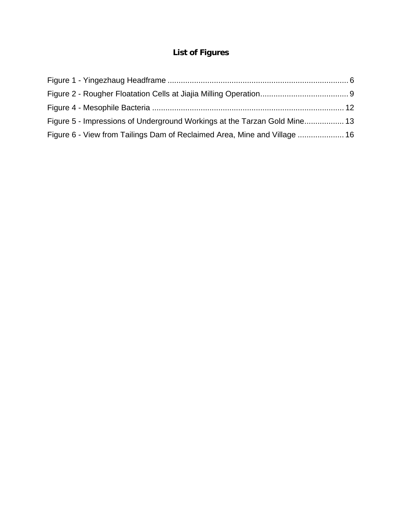# **List of Figures**

<span id="page-2-0"></span>

| Figure 5 - Impressions of Underground Workings at the Tarzan Gold Mine 13 |  |
|---------------------------------------------------------------------------|--|
| Figure 6 - View from Tailings Dam of Reclaimed Area, Mine and Village  16 |  |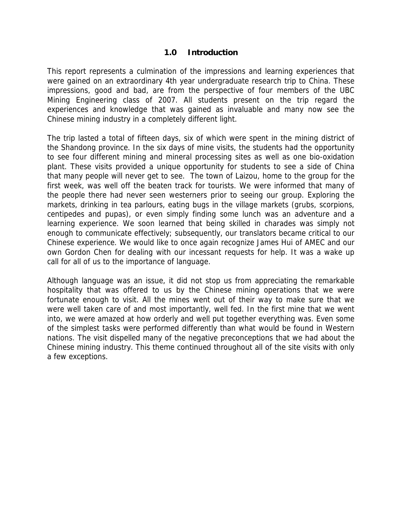#### **1.0 Introduction**

<span id="page-3-0"></span>This report represents a culmination of the impressions and learning experiences that were gained on an extraordinary 4th year undergraduate research trip to China. These impressions, good and bad, are from the perspective of four members of the UBC Mining Engineering class of 2007. All students present on the trip regard the experiences and knowledge that was gained as invaluable and many now see the Chinese mining industry in a completely different light.

The trip lasted a total of fifteen days, six of which were spent in the mining district of the Shandong province. In the six days of mine visits, the students had the opportunity to see four different mining and mineral processing sites as well as one bio-oxidation plant. These visits provided a unique opportunity for students to see a side of China that many people will never get to see. The town of Laizou, home to the group for the first week, was well off the beaten track for tourists. We were informed that many of the people there had never seen westerners prior to seeing our group. Exploring the markets, drinking in tea parlours, eating bugs in the village markets (grubs, scorpions, centipedes and pupas), or even simply finding some lunch was an adventure and a learning experience. We soon learned that being skilled in charades was simply not enough to communicate effectively; subsequently, our translators became critical to our Chinese experience. We would like to once again recognize James Hui of AMEC and our own Gordon Chen for dealing with our incessant requests for help. It was a wake up call for all of us to the importance of language.

Although language was an issue, it did not stop us from appreciating the remarkable hospitality that was offered to us by the Chinese mining operations that we were fortunate enough to visit. All the mines went out of their way to make sure that we were well taken care of and most importantly, well fed. In the first mine that we went into, we were amazed at how orderly and well put together everything was. Even some of the simplest tasks were performed differently than what would be found in Western nations. The visit dispelled many of the negative preconceptions that we had about the Chinese mining industry. This theme continued throughout all of the site visits with only a few exceptions.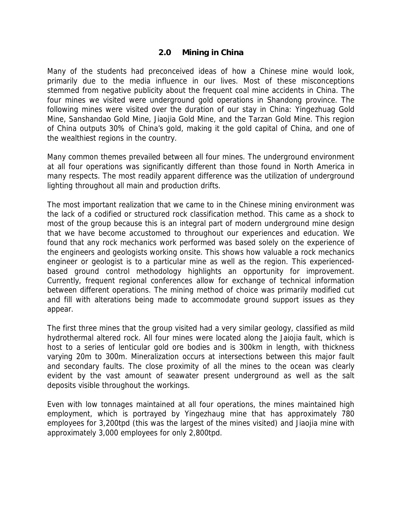#### **2.0 Mining in China**

<span id="page-4-0"></span>Many of the students had preconceived ideas of how a Chinese mine would look, primarily due to the media influence in our lives. Most of these misconceptions stemmed from negative publicity about the frequent coal mine accidents in China. The four mines we visited were underground gold operations in Shandong province. The following mines were visited over the duration of our stay in China: Yingezhuag Gold Mine, Sanshandao Gold Mine, Jiaojia Gold Mine, and the Tarzan Gold Mine. This region of China outputs 30% of China's gold, making it the gold capital of China, and one of the wealthiest regions in the country.

Many common themes prevailed between all four mines. The underground environment at all four operations was significantly different than those found in North America in many respects. The most readily apparent difference was the utilization of underground lighting throughout all main and production drifts.

The most important realization that we came to in the Chinese mining environment was the lack of a codified or structured rock classification method. This came as a shock to most of the group because this is an integral part of modern underground mine design that we have become accustomed to throughout our experiences and education. We found that any rock mechanics work performed was based solely on the experience of the engineers and geologists working onsite. This shows how valuable a rock mechanics engineer or geologist is to a particular mine as well as the region. This experiencedbased ground control methodology highlights an opportunity for improvement. Currently, frequent regional conferences allow for exchange of technical information between different operations. The mining method of choice was primarily modified cut and fill with alterations being made to accommodate ground support issues as they appear.

The first three mines that the group visited had a very similar geology, classified as mild hydrothermal altered rock. All four mines were located along the Jaiojia fault, which is host to a series of lenticular gold ore bodies and is 300km in length, with thickness varying 20m to 300m. Mineralization occurs at intersections between this major fault and secondary faults. The close proximity of all the mines to the ocean was clearly evident by the vast amount of seawater present underground as well as the salt deposits visible throughout the workings.

Even with low tonnages maintained at all four operations, the mines maintained high employment, which is portrayed by Yingezhaug mine that has approximately 780 employees for 3,200tpd (this was the largest of the mines visited) and Jiaojia mine with approximately 3,000 employees for only 2,800tpd.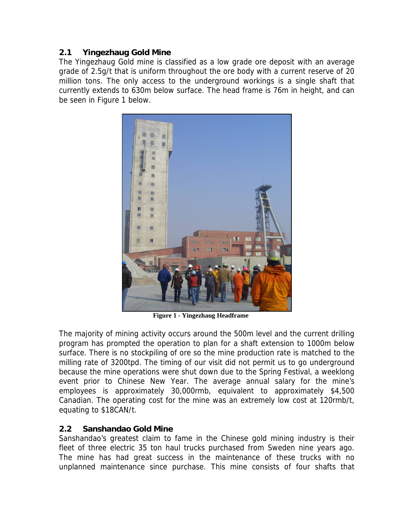# <span id="page-5-0"></span>**2.1 Yingezhaug Gold Mine**

The Yingezhaug Gold mine is classified as a low grade ore deposit with an average grade of 2.5g/t that is uniform throughout the ore body with a current reserve of 20 million tons. The only access to the underground workings is a single shaft that currently extends to 630m below surface. The head frame is 76m in height, and can be seen in Figure 1 below.



**Figure 1 - Yingezhaug Headframe**

The majority of mining activity occurs around the 500m level and the current drilling program has prompted the operation to plan for a shaft extension to 1000m below surface. There is no stockpiling of ore so the mine production rate is matched to the milling rate of 3200tpd. The timing of our visit did not permit us to go underground because the mine operations were shut down due to the Spring Festival, a weeklong event prior to Chinese New Year. The average annual salary for the mine's employees is approximately 30,000rmb, equivalent to approximately \$4,500 Canadian. The operating cost for the mine was an extremely low cost at 120rmb/t, equating to \$18CAN/t.

# **2.2 Sanshandao Gold Mine**

Sanshandao's greatest claim to fame in the Chinese gold mining industry is their fleet of three electric 35 ton haul trucks purchased from Sweden nine years ago. The mine has had great success in the maintenance of these trucks with no unplanned maintenance since purchase. This mine consists of four shafts that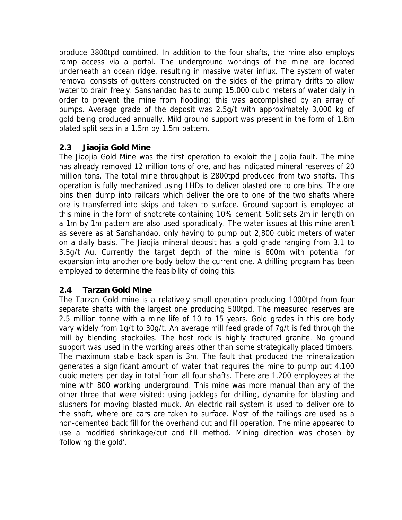<span id="page-6-0"></span>produce 3800tpd combined. In addition to the four shafts, the mine also employs ramp access via a portal. The underground workings of the mine are located underneath an ocean ridge, resulting in massive water influx. The system of water removal consists of gutters constructed on the sides of the primary drifts to allow water to drain freely. Sanshandao has to pump 15,000 cubic meters of water daily in order to prevent the mine from flooding; this was accomplished by an array of pumps. Average grade of the deposit was 2.5g/t with approximately 3,000 kg of gold being produced annually. Mild ground support was present in the form of 1.8m plated split sets in a 1.5m by 1.5m pattern.

# **2.3 Jiaojia Gold Mine**

The Jiaojia Gold Mine was the first operation to exploit the Jiaojia fault. The mine has already removed 12 million tons of ore, and has indicated mineral reserves of 20 million tons. The total mine throughput is 2800tpd produced from two shafts. This operation is fully mechanized using LHDs to deliver blasted ore to ore bins. The ore bins then dump into railcars which deliver the ore to one of the two shafts where ore is transferred into skips and taken to surface. Ground support is employed at this mine in the form of shotcrete containing 10% cement. Split sets 2m in length on a 1m by 1m pattern are also used sporadically. The water issues at this mine aren't as severe as at Sanshandao, only having to pump out 2,800 cubic meters of water on a daily basis. The Jiaojia mineral deposit has a gold grade ranging from 3.1 to 3.5g/t Au. Currently the target depth of the mine is 600m with potential for expansion into another ore body below the current one. A drilling program has been employed to determine the feasibility of doing this.

## **2.4 Tarzan Gold Mine**

The Tarzan Gold mine is a relatively small operation producing 1000tpd from four separate shafts with the largest one producing 500tpd. The measured reserves are 2.5 million tonne with a mine life of 10 to 15 years. Gold grades in this ore body vary widely from 1g/t to 30g/t. An average mill feed grade of 7g/t is fed through the mill by blending stockpiles. The host rock is highly fractured granite. No ground support was used in the working areas other than some strategically placed timbers. The maximum stable back span is 3m. The fault that produced the mineralization generates a significant amount of water that requires the mine to pump out 4,100 cubic meters per day in total from all four shafts. There are 1,200 employees at the mine with 800 working underground. This mine was more manual than any of the other three that were visited; using jacklegs for drilling, dynamite for blasting and slushers for moving blasted muck. An electric rail system is used to deliver ore to the shaft, where ore cars are taken to surface. Most of the tailings are used as a non-cemented back fill for the overhand cut and fill operation. The mine appeared to use a modified shrinkage/cut and fill method. Mining direction was chosen by 'following the gold'.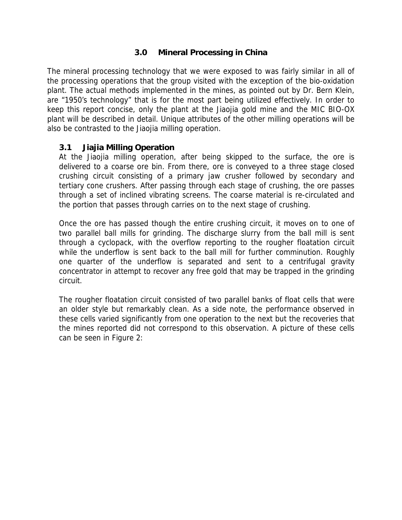## **3.0 Mineral Processing in China**

<span id="page-7-0"></span>The mineral processing technology that we were exposed to was fairly similar in all of the processing operations that the group visited with the exception of the bio-oxidation plant. The actual methods implemented in the mines, as pointed out by Dr. Bern Klein, are "1950's technology" that is for the most part being utilized effectively. In order to keep this report concise, only the plant at the Jiaojia gold mine and the MIC BIO-OX plant will be described in detail. Unique attributes of the other milling operations will be also be contrasted to the Jiaojia milling operation.

#### **3.1 Jiajia Milling Operation**

At the Jiaojia milling operation, after being skipped to the surface, the ore is delivered to a coarse ore bin. From there, ore is conveyed to a three stage closed crushing circuit consisting of a primary jaw crusher followed by secondary and tertiary cone crushers. After passing through each stage of crushing, the ore passes through a set of inclined vibrating screens. The coarse material is re-circulated and the portion that passes through carries on to the next stage of crushing.

Once the ore has passed though the entire crushing circuit, it moves on to one of two parallel ball mills for grinding. The discharge slurry from the ball mill is sent through a cyclopack, with the overflow reporting to the rougher floatation circuit while the underflow is sent back to the ball mill for further comminution. Roughly one quarter of the underflow is separated and sent to a centrifugal gravity concentrator in attempt to recover any free gold that may be trapped in the grinding circuit.

The rougher floatation circuit consisted of two parallel banks of float cells that were an older style but remarkably clean. As a side note, the performance observed in these cells varied significantly from one operation to the next but the recoveries that the mines reported did not correspond to this observation. A picture of these cells can be seen in Figure 2: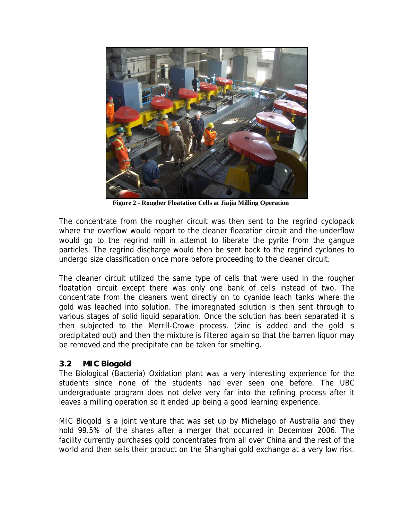<span id="page-8-0"></span>

**Figure 2 - Rougher Floatation Cells at Jiajia Milling Operation**

The concentrate from the rougher circuit was then sent to the regrind cyclopack where the overflow would report to the cleaner floatation circuit and the underflow would go to the regrind mill in attempt to liberate the pyrite from the gangue particles. The regrind discharge would then be sent back to the regrind cyclones to undergo size classification once more before proceeding to the cleaner circuit.

The cleaner circuit utilized the same type of cells that were used in the rougher floatation circuit except there was only one bank of cells instead of two. The concentrate from the cleaners went directly on to cyanide leach tanks where the gold was leached into solution. The impregnated solution is then sent through to various stages of solid liquid separation. Once the solution has been separated it is then subjected to the Merrill-Crowe process, (zinc is added and the gold is precipitated out) and then the mixture is filtered again so that the barren liquor may be removed and the precipitate can be taken for smelting.

#### **3.2 MIC Biogold**

The Biological (Bacteria) Oxidation plant was a very interesting experience for the students since none of the students had ever seen one before. The UBC undergraduate program does not delve very far into the refining process after it leaves a milling operation so it ended up being a good learning experience.

MIC Biogold is a joint venture that was set up by Michelago of Australia and they hold 99.5% of the shares after a merger that occurred in December 2006. The facility currently purchases gold concentrates from all over China and the rest of the world and then sells their product on the Shanghai gold exchange at a very low risk.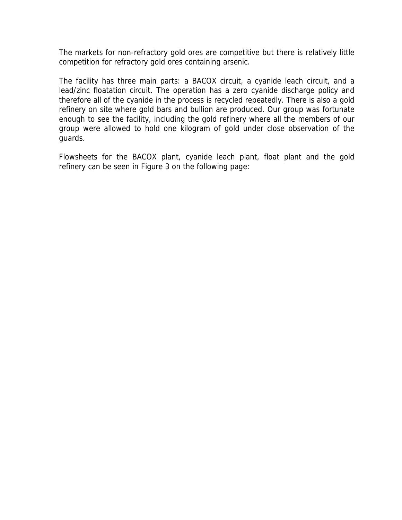The markets for non-refractory gold ores are competitive but there is relatively little competition for refractory gold ores containing arsenic.

The facility has three main parts: a BACOX circuit, a cyanide leach circuit, and a lead/zinc floatation circuit. The operation has a zero cyanide discharge policy and therefore all of the cyanide in the process is recycled repeatedly. There is also a gold refinery on site where gold bars and bullion are produced. Our group was fortunate enough to see the facility, including the gold refinery where all the members of our group were allowed to hold one kilogram of gold under close observation of the guards.

Flowsheets for the BACOX plant, cyanide leach plant, float plant and the gold refinery can be seen in Figure 3 on the following page: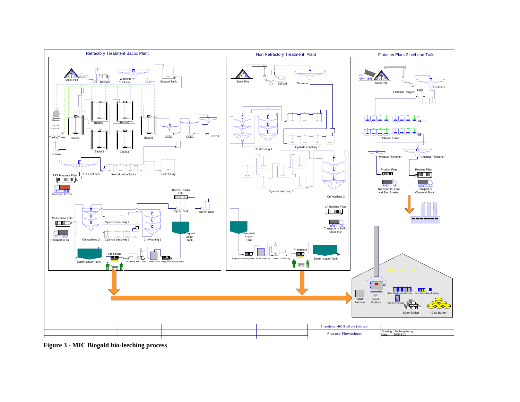

**Figure 3 - MIC Biogold bio-leeching process**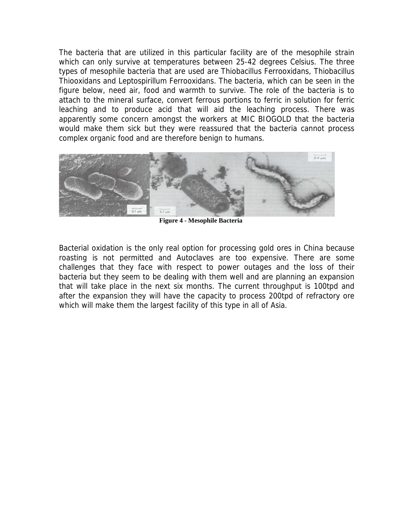<span id="page-11-0"></span>The bacteria that are utilized in this particular facility are of the mesophile strain which can only survive at temperatures between 25-42 degrees Celsius. The three types of mesophile bacteria that are used are Thiobacillus Ferrooxidans, Thiobacillus Thiooxidans and Leptospirillum Ferrooxidans. The bacteria, which can be seen in the figure below, need air, food and warmth to survive. The role of the bacteria is to attach to the mineral surface, convert ferrous portions to ferric in solution for ferric leaching and to produce acid that will aid the leaching process. There was apparently some concern amongst the workers at MIC BIOGOLD that the bacteria would make them sick but they were reassured that the bacteria cannot process complex organic food and are therefore benign to humans.



**Figure 4 - Mesophile Bacteria** 

Bacterial oxidation is the only real option for processing gold ores in China because roasting is not permitted and Autoclaves are too expensive. There are some challenges that they face with respect to power outages and the loss of their bacteria but they seem to be dealing with them well and are planning an expansion that will take place in the next six months. The current throughput is 100tpd and after the expansion they will have the capacity to process 200tpd of refractory ore which will make them the largest facility of this type in all of Asia.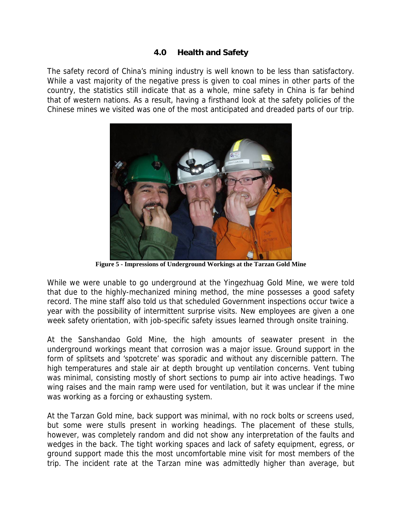## **4.0 Health and Safety**

<span id="page-12-0"></span>The safety record of China's mining industry is well known to be less than satisfactory. While a vast majority of the negative press is given to coal mines in other parts of the country, the statistics still indicate that as a whole, mine safety in China is far behind that of western nations. As a result, having a firsthand look at the safety policies of the Chinese mines we visited was one of the most anticipated and dreaded parts of our trip.



**Figure 5 - Impressions of Underground Workings at the Tarzan Gold Mine**

While we were unable to go underground at the Yingezhuag Gold Mine, we were told that due to the highly-mechanized mining method, the mine possesses a good safety record. The mine staff also told us that scheduled Government inspections occur twice a year with the possibility of intermittent surprise visits. New employees are given a one week safety orientation, with job-specific safety issues learned through onsite training.

At the Sanshandao Gold Mine, the high amounts of seawater present in the underground workings meant that corrosion was a major issue. Ground support in the form of splitsets and 'spotcrete' was sporadic and without any discernible pattern. The high temperatures and stale air at depth brought up ventilation concerns. Vent tubing was minimal, consisting mostly of short sections to pump air into active headings. Two wing raises and the main ramp were used for ventilation, but it was unclear if the mine was working as a forcing or exhausting system.

At the Tarzan Gold mine, back support was minimal, with no rock bolts or screens used, but some were stulls present in working headings. The placement of these stulls, however, was completely random and did not show any interpretation of the faults and wedges in the back. The tight working spaces and lack of safety equipment, egress, or ground support made this the most uncomfortable mine visit for most members of the trip. The incident rate at the Tarzan mine was admittedly higher than average, but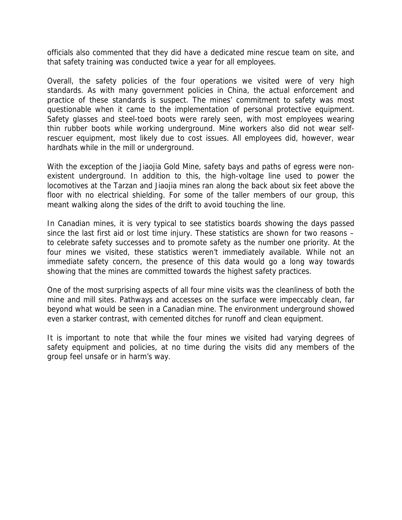officials also commented that they did have a dedicated mine rescue team on site, and that safety training was conducted twice a year for all employees.

Overall, the safety policies of the four operations we visited were of very high standards. As with many government policies in China, the actual enforcement and practice of these standards is suspect. The mines' commitment to safety was most questionable when it came to the implementation of personal protective equipment. Safety glasses and steel-toed boots were rarely seen, with most employees wearing thin rubber boots while working underground. Mine workers also did not wear selfrescuer equipment, most likely due to cost issues. All employees did, however, wear hardhats while in the mill or underground.

With the exception of the Jiaojia Gold Mine, safety bays and paths of egress were nonexistent underground. In addition to this, the high-voltage line used to power the locomotives at the Tarzan and Jiaojia mines ran along the back about six feet above the floor with no electrical shielding. For some of the taller members of our group, this meant walking along the sides of the drift to avoid touching the line.

In Canadian mines, it is very typical to see statistics boards showing the days passed since the last first aid or lost time injury. These statistics are shown for two reasons – to celebrate safety successes and to promote safety as the number one priority. At the four mines we visited, these statistics weren't immediately available. While not an immediate safety concern, the presence of this data would go a long way towards showing that the mines are committed towards the highest safety practices.

One of the most surprising aspects of all four mine visits was the cleanliness of both the mine and mill sites. Pathways and accesses on the surface were impeccably clean, far beyond what would be seen in a Canadian mine. The environment underground showed even a starker contrast, with cemented ditches for runoff and clean equipment.

It is important to note that while the four mines we visited had varying degrees of safety equipment and policies, at no time during the visits did any members of the group feel unsafe or in harm's way.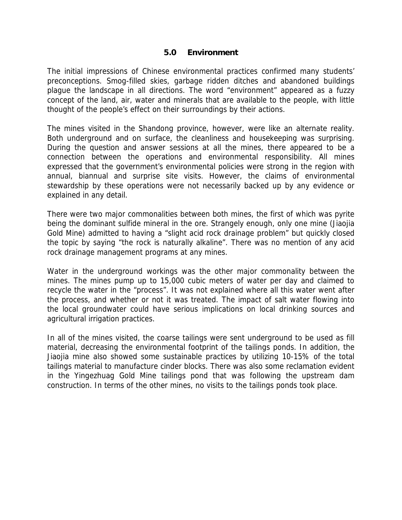#### **5.0 Environment**

<span id="page-14-0"></span>The initial impressions of Chinese environmental practices confirmed many students' preconceptions. Smog-filled skies, garbage ridden ditches and abandoned buildings plague the landscape in all directions. The word "environment" appeared as a fuzzy concept of the land, air, water and minerals that are available to the people, with little thought of the people's effect on their surroundings by their actions.

The mines visited in the Shandong province, however, were like an alternate reality. Both underground and on surface, the cleanliness and housekeeping was surprising. During the question and answer sessions at all the mines, there appeared to be a connection between the operations and environmental responsibility. All mines expressed that the government's environmental policies were strong in the region with annual, biannual and surprise site visits. However, the claims of environmental stewardship by these operations were not necessarily backed up by any evidence or explained in any detail.

There were two major commonalities between both mines, the first of which was pyrite being the dominant sulfide mineral in the ore. Strangely enough, only one mine (Jiaojia Gold Mine) admitted to having a "slight acid rock drainage problem" but quickly closed the topic by saying "the rock is naturally alkaline". There was no mention of any acid rock drainage management programs at any mines.

Water in the underground workings was the other major commonality between the mines. The mines pump up to 15,000 cubic meters of water per day and claimed to recycle the water in the "process". It was not explained where all this water went after the process, and whether or not it was treated. The impact of salt water flowing into the local groundwater could have serious implications on local drinking sources and agricultural irrigation practices.

In all of the mines visited, the coarse tailings were sent underground to be used as fill material, decreasing the environmental footprint of the tailings ponds. In addition, the Jiaojia mine also showed some sustainable practices by utilizing 10-15% of the total tailings material to manufacture cinder blocks. There was also some reclamation evident in the Yingezhuag Gold Mine tailings pond that was following the upstream dam construction. In terms of the other mines, no visits to the tailings ponds took place.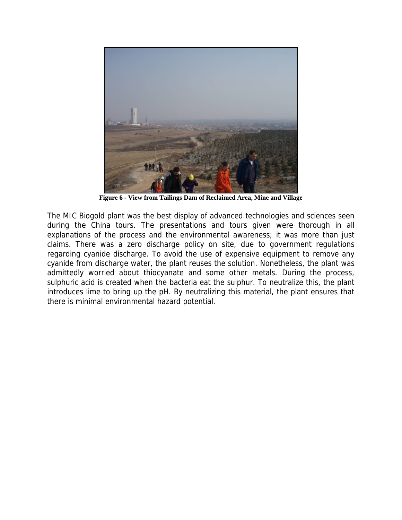<span id="page-15-0"></span>

**Figure 6 - View from Tailings Dam of Reclaimed Area, Mine and Village**

The MIC Biogold plant was the best display of advanced technologies and sciences seen during the China tours. The presentations and tours given were thorough in all explanations of the process and the environmental awareness; it was more than just claims. There was a zero discharge policy on site, due to government regulations regarding cyanide discharge. To avoid the use of expensive equipment to remove any cyanide from discharge water, the plant reuses the solution. Nonetheless, the plant was admittedly worried about thiocyanate and some other metals. During the process, sulphuric acid is created when the bacteria eat the sulphur. To neutralize this, the plant introduces lime to bring up the pH. By neutralizing this material, the plant ensures that there is minimal environmental hazard potential.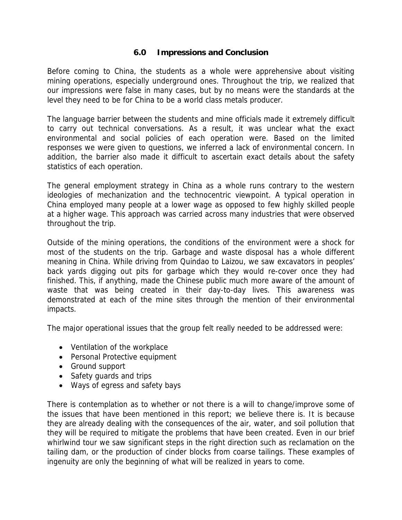## **6.0 Impressions and Conclusion**

<span id="page-16-0"></span>Before coming to China, the students as a whole were apprehensive about visiting mining operations, especially underground ones. Throughout the trip, we realized that our impressions were false in many cases, but by no means were the standards at the level they need to be for China to be a world class metals producer.

The language barrier between the students and mine officials made it extremely difficult to carry out technical conversations. As a result, it was unclear what the exact environmental and social policies of each operation were. Based on the limited responses we were given to questions, we inferred a lack of environmental concern. In addition, the barrier also made it difficult to ascertain exact details about the safety statistics of each operation.

The general employment strategy in China as a whole runs contrary to the western ideologies of mechanization and the technocentric viewpoint. A typical operation in China employed many people at a lower wage as opposed to few highly skilled people at a higher wage. This approach was carried across many industries that were observed throughout the trip.

Outside of the mining operations, the conditions of the environment were a shock for most of the students on the trip. Garbage and waste disposal has a whole different meaning in China. While driving from Quindao to Laizou, we saw excavators in peoples' back yards digging out pits for garbage which they would re-cover once they had finished. This, if anything, made the Chinese public much more aware of the amount of waste that was being created in their day-to-day lives. This awareness was demonstrated at each of the mine sites through the mention of their environmental impacts.

The major operational issues that the group felt really needed to be addressed were:

- Ventilation of the workplace
- Personal Protective equipment
- Ground support
- Safety guards and trips
- Ways of egress and safety bays

There is contemplation as to whether or not there is a will to change/improve some of the issues that have been mentioned in this report; we believe there is. It is because they are already dealing with the consequences of the air, water, and soil pollution that they will be required to mitigate the problems that have been created. Even in our brief whirlwind tour we saw significant steps in the right direction such as reclamation on the tailing dam, or the production of cinder blocks from coarse tailings. These examples of ingenuity are only the beginning of what will be realized in years to come.